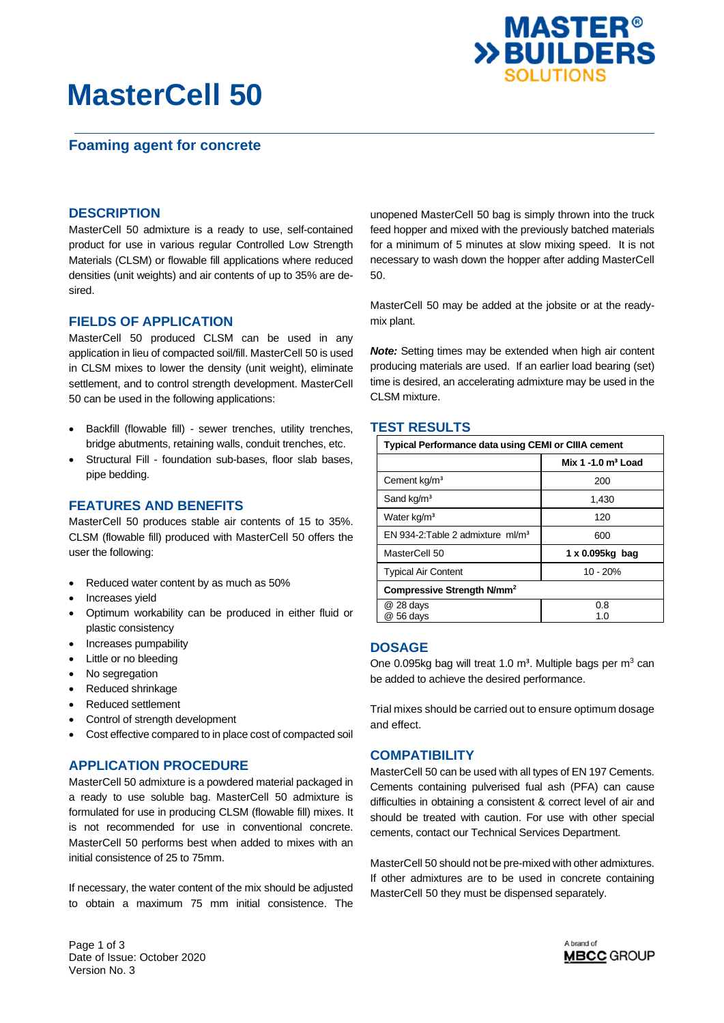# **MasterCell 50**





## **DESCRIPTION**

MasterCell 50 admixture is a ready to use, self-contained product for use in various regular Controlled Low Strength Materials (CLSM) or flowable fill applications where reduced densities (unit weights) and air contents of up to 35% are desired.

## **FIELDS OF APPLICATION**

MasterCell 50 produced CLSM can be used in any application in lieu of compacted soil/fill. MasterCell 50 is used in CLSM mixes to lower the density (unit weight), eliminate settlement, and to control strength development. MasterCell 50 can be used in the following applications:

- Backfill (flowable fill) sewer trenches, utility trenches, bridge abutments, retaining walls, conduit trenches, etc.
- Structural Fill foundation sub-bases, floor slab bases, pipe bedding.

## **FEATURES AND BENEFITS**

MasterCell 50 produces stable air contents of 15 to 35%. CLSM (flowable fill) produced with MasterCell 50 offers the user the following:

- Reduced water content by as much as 50%
- Increases yield
- Optimum workability can be produced in either fluid or plastic consistency
- Increases pumpability
- Little or no bleeding
- No segregation
- Reduced shrinkage
- Reduced settlement
- Control of strength development
- Cost effective compared to in place cost of compacted soil

## **APPLICATION PROCEDURE**

MasterCell 50 admixture is a powdered material packaged in a ready to use soluble bag. MasterCell 50 admixture is formulated for use in producing CLSM (flowable fill) mixes. It is not recommended for use in conventional concrete. MasterCell 50 performs best when added to mixes with an initial consistence of 25 to 75mm.

If necessary, the water content of the mix should be adjusted to obtain a maximum 75 mm initial consistence. The unopened MasterCell 50 bag is simply thrown into the truck feed hopper and mixed with the previously batched materials for a minimum of 5 minutes at slow mixing speed. It is not necessary to wash down the hopper after adding MasterCell 50.

MasterCell 50 may be added at the jobsite or at the readymix plant.

*Note:* Setting times may be extended when high air content producing materials are used. If an earlier load bearing (set) time is desired, an accelerating admixture may be used in the CLSM mixture.

#### **TEST RESULTS**

| <b>Typical Performance data using CEMI or CIIIA cement</b> |                      |
|------------------------------------------------------------|----------------------|
|                                                            | Mix 1 -1.0 $m3$ Load |
| Cement kg/m <sup>3</sup>                                   | 200                  |
| Sand kg/m <sup>3</sup>                                     | 1,430                |
| Water kg/m <sup>3</sup>                                    | 120                  |
| EN 934-2: Table 2 admixture $ml/m3$                        | 600                  |
| MasterCell 50                                              | 1 x 0.095kg bag      |
| <b>Typical Air Content</b>                                 | $10 - 20%$           |
| Compressive Strength N/mm <sup>2</sup>                     |                      |
| @ 28 days                                                  | 0.8                  |
| @ 56 days                                                  | 1.0                  |

## **DOSAGE**

One 0.095kg bag will treat 1.0  $m^3$ . Multiple bags per  $m^3$  can be added to achieve the desired performance.

Trial mixes should be carried out to ensure optimum dosage and effect.

## **COMPATIBILITY**

MasterCell 50 can be used with all types of EN 197 Cements. Cements containing pulverised fual ash (PFA) can cause difficulties in obtaining a consistent & correct level of air and should be treated with caution. For use with other special cements, contact our Technical Services Department.

MasterCell 50 should not be pre-mixed with other admixtures. If other admixtures are to be used in concrete containing MasterCell 50 they must be dispensed separately.

Page 1 of 3 Date of Issue: October 2020 Version No. 3

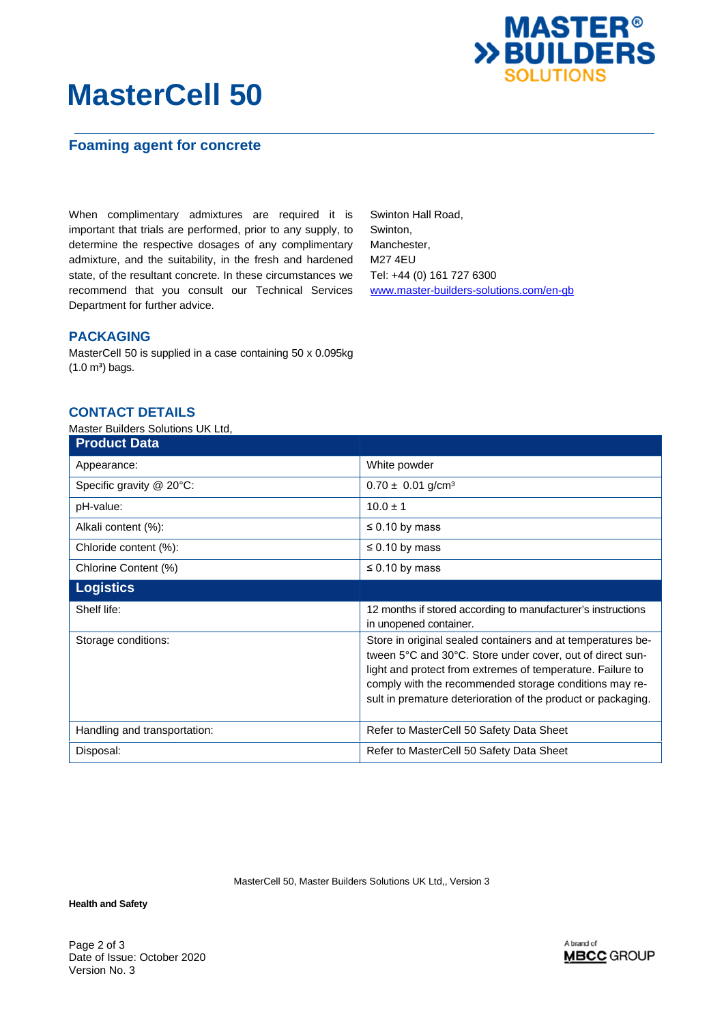

## **MasterCell 50**

## **Foaming agent for concrete**

When complimentary admixtures are required it is important that trials are performed, prior to any supply, to determine the respective dosages of any complimentary admixture, and the suitability, in the fresh and hardened state, of the resultant concrete. In these circumstances we recommend that you consult our Technical Services Department for further advice.

Swinton Hall Road, Swinton, Manchester, M27 4EU Tel: +44 (0) 161 727 6300 [www.master-builders-solutions.com/en-gb](http://www.master-builders-solutions.com/en-gb)

## **PACKAGING**

MasterCell 50 is supplied in a case containing 50 x 0.095kg  $(1.0 \text{ m}^3)$  bags.

### **CONTACT DETAILS**

### Master Builders Solutions UK Ltd,

| <b>Product Data</b>            |                                                                                                                                                                                                                                                                                                                  |
|--------------------------------|------------------------------------------------------------------------------------------------------------------------------------------------------------------------------------------------------------------------------------------------------------------------------------------------------------------|
| Appearance:                    | White powder                                                                                                                                                                                                                                                                                                     |
| Specific gravity $@$ 20 $°C$ : | $0.70 \pm 0.01$ g/cm <sup>3</sup>                                                                                                                                                                                                                                                                                |
| pH-value:                      | $10.0 \pm 1$                                                                                                                                                                                                                                                                                                     |
| Alkali content (%):            | $\leq$ 0.10 by mass                                                                                                                                                                                                                                                                                              |
| Chloride content (%):          | $\leq 0.10$ by mass                                                                                                                                                                                                                                                                                              |
| Chlorine Content (%)           | $\leq$ 0.10 by mass                                                                                                                                                                                                                                                                                              |
| <b>Logistics</b>               |                                                                                                                                                                                                                                                                                                                  |
| Shelf life:                    | 12 months if stored according to manufacturer's instructions<br>in unopened container.                                                                                                                                                                                                                           |
| Storage conditions:            | Store in original sealed containers and at temperatures be-<br>tween 5°C and 30°C. Store under cover, out of direct sun-<br>light and protect from extremes of temperature. Failure to<br>comply with the recommended storage conditions may re-<br>sult in premature deterioration of the product or packaging. |
| Handling and transportation:   | Refer to MasterCell 50 Safety Data Sheet                                                                                                                                                                                                                                                                         |
| Disposal:                      | Refer to MasterCell 50 Safety Data Sheet                                                                                                                                                                                                                                                                         |

MasterCell 50, Master Builders Solutions UK Ltd,, Version 3

**Health and Safety** 

Page 2 of 3 Date of Issue: October 2020 Version No. 3